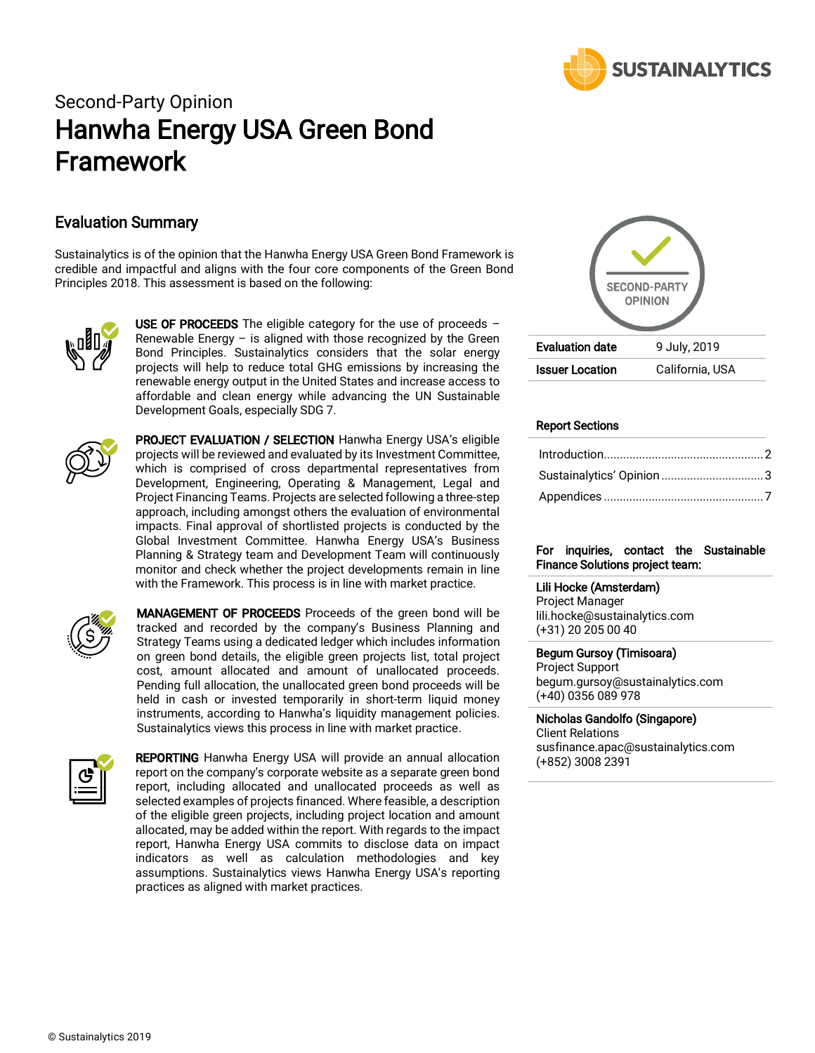

# Second-Party Opinion Hanwha Energy USA Green Bond Framework

# Evaluation Summary

Sustainalytics is of the opinion that the Hanwha Energy USA Green Bond Framework is credible and impactful and aligns with the four core components of the Green Bond Principles 2018. This assessment is based on the following:



USE OF PROCEEDS The eligible category for the use of proceeds  $-$ Renewable Energy – is aligned with those recognized by the Green Bond Principles. Sustainalytics considers that the solar energy projects will help to reduce total GHG emissions by increasing the renewable energy output in the United States and increase access to affordable and clean energy while advancing the UN Sustainable Development Goals, especially SDG 7.



**PROJECT EVALUATION / SELECTION Hanwha Energy USA's eligible** projects will be reviewed and evaluated by its Investment Committee, which is comprised of cross departmental representatives from Development, Engineering, Operating & Management, Legal and Project Financing Teams. Projects are selected following a three-step approach, including amongst others the evaluation of environmental impacts. Final approval of shortlisted projects is conducted by the Global Investment Committee. Hanwha Energy USA's Business Planning & Strategy team and Development Team will continuously monitor and check whether the project developments remain in line with the Framework. This process is in line with market practice.



MANAGEMENT OF PROCEEDS Proceeds of the green bond will be tracked and recorded by the company's Business Planning and Strategy Teams using a dedicated ledger which includes information on green bond details, the eligible green projects list, total project cost, amount allocated and amount of unallocated proceeds. Pending full allocation, the unallocated green bond proceeds will be held in cash or invested temporarily in short-term liquid money instruments, according to Hanwha's liquidity management policies. Sustainalytics views this process in line with market practice.



**REPORTING** Hanwha Energy USA will provide an annual allocation report on the company's corporate website as a separate green bond report, including allocated and unallocated proceeds as well as selected examples of projects financed. Where feasible, a description of the eligible green projects, including project location and amount allocated, may be added within the report. With regards to the impact report, Hanwha Energy USA commits to disclose data on impact indicators as well as calculation methodologies and key assumptions. Sustainalytics views Hanwha Energy USA's reporting practices as aligned with market practices.



# Report Sections

| Sustainalytics' Opinion3 |  |
|--------------------------|--|
|                          |  |

### For inquiries, contact the Sustainable Finance Solutions project team:

#### Lili Hocke (Amsterdam)

Project Manager lili.hocke@sustainalytics.com (+31) 20 205 00 40

#### Begum Gursoy (Timisoara)

Project Support begum.gursoy@sustainalytics.com (+40) 0356 089 978

#### Nicholas Gandolfo (Singapore)

Client Relations susfinance.apac@sustainalytics.com (+852) 3008 2391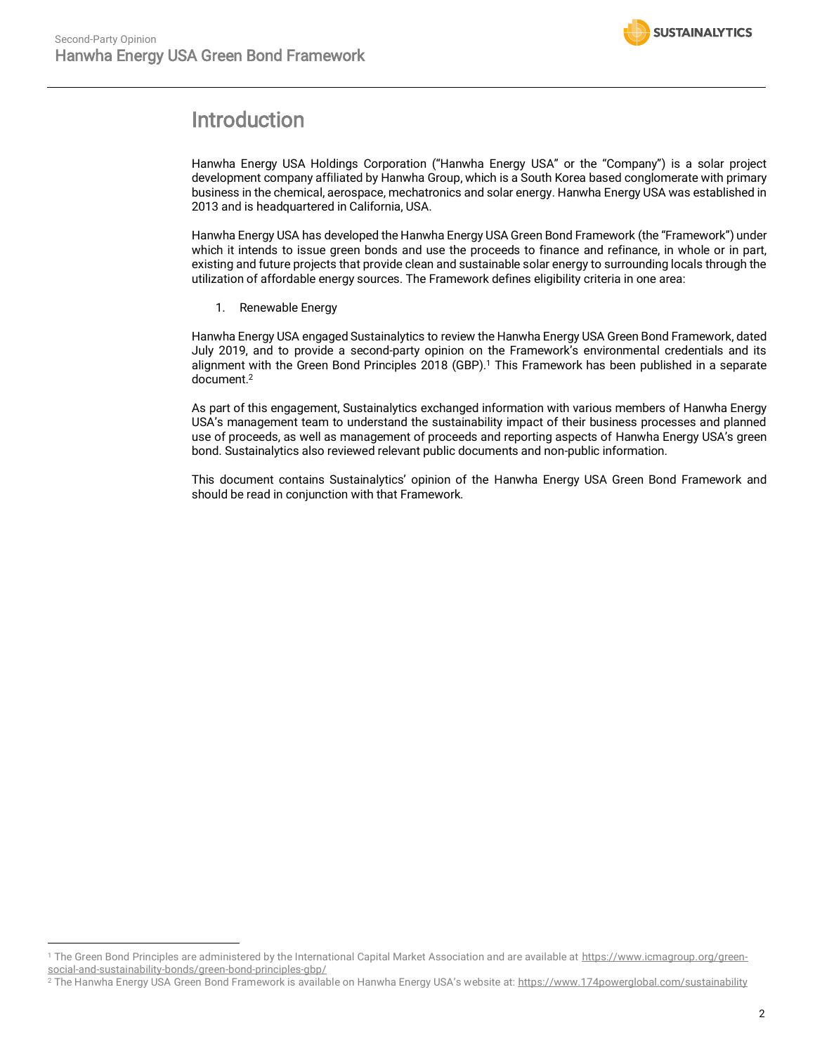$\overline{a}$ 



# <span id="page-1-0"></span>Introduction

Hanwha Energy USA Holdings Corporation ("Hanwha Energy USA" or the "Company") is a solar project development company affiliated by Hanwha Group, which is a South Korea based conglomerate with primary business in the chemical, aerospace, mechatronics and solar energy. Hanwha Energy USA was established in 2013 and is headquartered in California, USA.

Hanwha Energy USA has developed the Hanwha Energy USA Green Bond Framework (the "Framework") under which it intends to issue green bonds and use the proceeds to finance and refinance, in whole or in part, existing and future projects that provide clean and sustainable solar energy to surrounding locals through the utilization of affordable energy sources. The Framework defines eligibility criteria in one area:

1. Renewable Energy

Hanwha Energy USA engaged Sustainalytics to review the Hanwha Energy USA Green Bond Framework, dated July 2019, and to provide a second-party opinion on the Framework's environmental credentials and its alignment with the Green Bond Principles 2018 (GBP). <sup>1</sup> This Framework has been published in a separate document. 2

As part of this engagement, Sustainalytics exchanged information with various members of Hanwha Energy USA's management team to understand the sustainability impact of their business processes and planned use of proceeds, as well as management of proceeds and reporting aspects of Hanwha Energy USA's green bond. Sustainalytics also reviewed relevant public documents and non-public information.

This document contains Sustainalytics' opinion of the Hanwha Energy USA Green Bond Framework and should be read in conjunction with that Framework.

<sup>&</sup>lt;sup>1</sup> The Green Bond Principles are administered by the International Capital Market Association and are available at [https://www.icmagroup.org/green](https://www.icmagroup.org/green-social-and-sustainability-bonds/green-bond-principles-gbp/)[social-and-sustainability-bonds/green-bond-principles-gbp/](https://www.icmagroup.org/green-social-and-sustainability-bonds/green-bond-principles-gbp/) 

<sup>&</sup>lt;sup>2</sup> The Hanwha Energy USA Green Bond Framework is available on Hanwha Energy USA's website at: <https://www.174powerglobal.com/sustainability>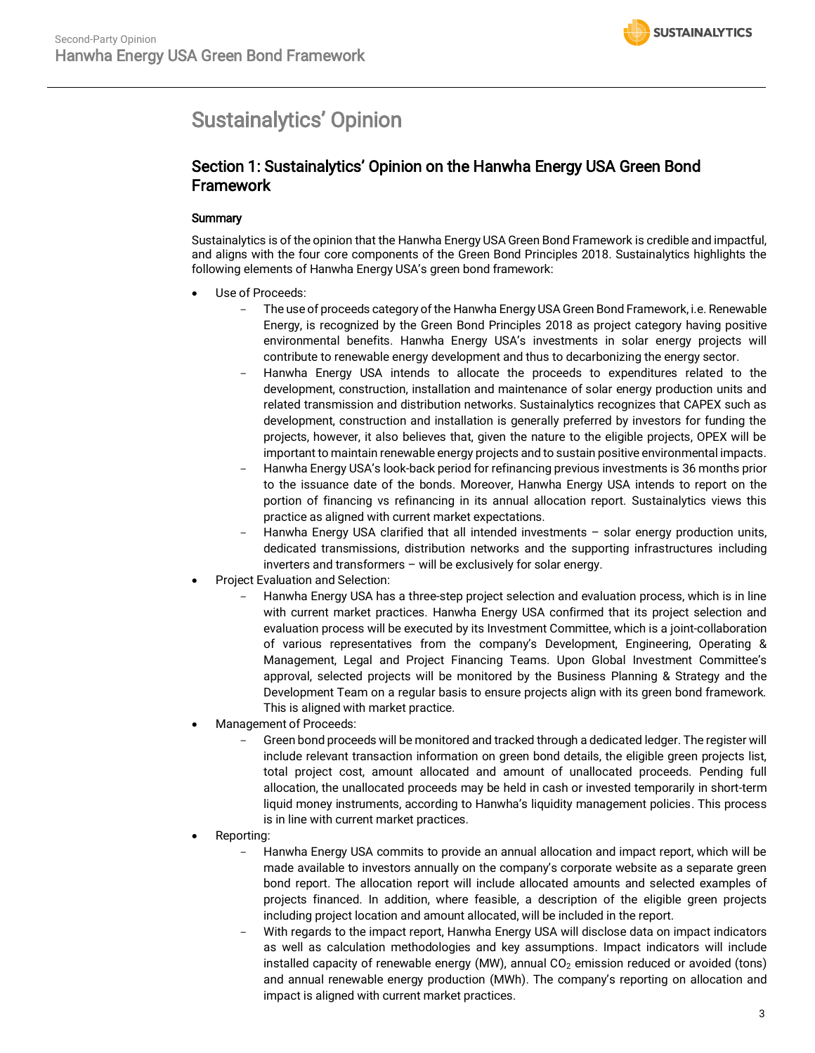# <span id="page-2-0"></span>Sustainalytics' Opinion

# Section 1: Sustainalytics' Opinion on the Hanwha Energy USA Green Bond Framework

# **Summary**

Sustainalytics is of the opinion that the Hanwha Energy USA Green Bond Framework is credible and impactful, and aligns with the four core components of the Green Bond Principles 2018. Sustainalytics highlights the following elements of Hanwha Energy USA's green bond framework:

- Use of Proceeds:
	- The use of proceeds category of the Hanwha Energy USA Green Bond Framework, i.e. Renewable Energy, is recognized by the Green Bond Principles 2018 as project category having positive environmental benefits. Hanwha Energy USA's investments in solar energy projects will contribute to renewable energy development and thus to decarbonizing the energy sector.
	- Hanwha Energy USA intends to allocate the proceeds to expenditures related to the development, construction, installation and maintenance of solar energy production units and related transmission and distribution networks. Sustainalytics recognizes that CAPEX such as development, construction and installation is generally preferred by investors for funding the projects, however, it also believes that, given the nature to the eligible projects, OPEX will be important to maintain renewable energy projects and to sustain positive environmental impacts.
	- Hanwha Energy USA's look-back period for refinancing previous investments is 36 months prior to the issuance date of the bonds. Moreover, Hanwha Energy USA intends to report on the portion of financing vs refinancing in its annual allocation report. Sustainalytics views this practice as aligned with current market expectations.
	- Hanwha Energy USA clarified that all intended investments  $-$  solar energy production units, dedicated transmissions, distribution networks and the supporting infrastructures including inverters and transformers – will be exclusively for solar energy.
- Project Evaluation and Selection:
	- Hanwha Energy USA has a three-step project selection and evaluation process, which is in line with current market practices. Hanwha Energy USA confirmed that its project selection and evaluation process will be executed by its Investment Committee, which is a joint-collaboration of various representatives from the company's Development, Engineering, Operating & Management, Legal and Project Financing Teams. Upon Global Investment Committee's approval, selected projects will be monitored by the Business Planning & Strategy and the Development Team on a regular basis to ensure projects align with its green bond framework. This is aligned with market practice.
- Management of Proceeds:
	- Green bond proceeds will be monitored and tracked through a dedicated ledger. The register will include relevant transaction information on green bond details, the eligible green projects list, total project cost, amount allocated and amount of unallocated proceeds. Pending full allocation, the unallocated proceeds may be held in cash or invested temporarily in short-term liquid money instruments, according to Hanwha's liquidity management policies. This process is in line with current market practices.
- Reporting:
	- Hanwha Energy USA commits to provide an annual allocation and impact report, which will be made available to investors annually on the company's corporate website as a separate green bond report. The allocation report will include allocated amounts and selected examples of projects financed. In addition, where feasible, a description of the eligible green projects including project location and amount allocated, will be included in the report.
	- With regards to the impact report, Hanwha Energy USA will disclose data on impact indicators as well as calculation methodologies and key assumptions. Impact indicators will include installed capacity of renewable energy (MW), annual  $CO<sub>2</sub>$  emission reduced or avoided (tons) and annual renewable energy production (MWh). The company's reporting on allocation and impact is aligned with current market practices.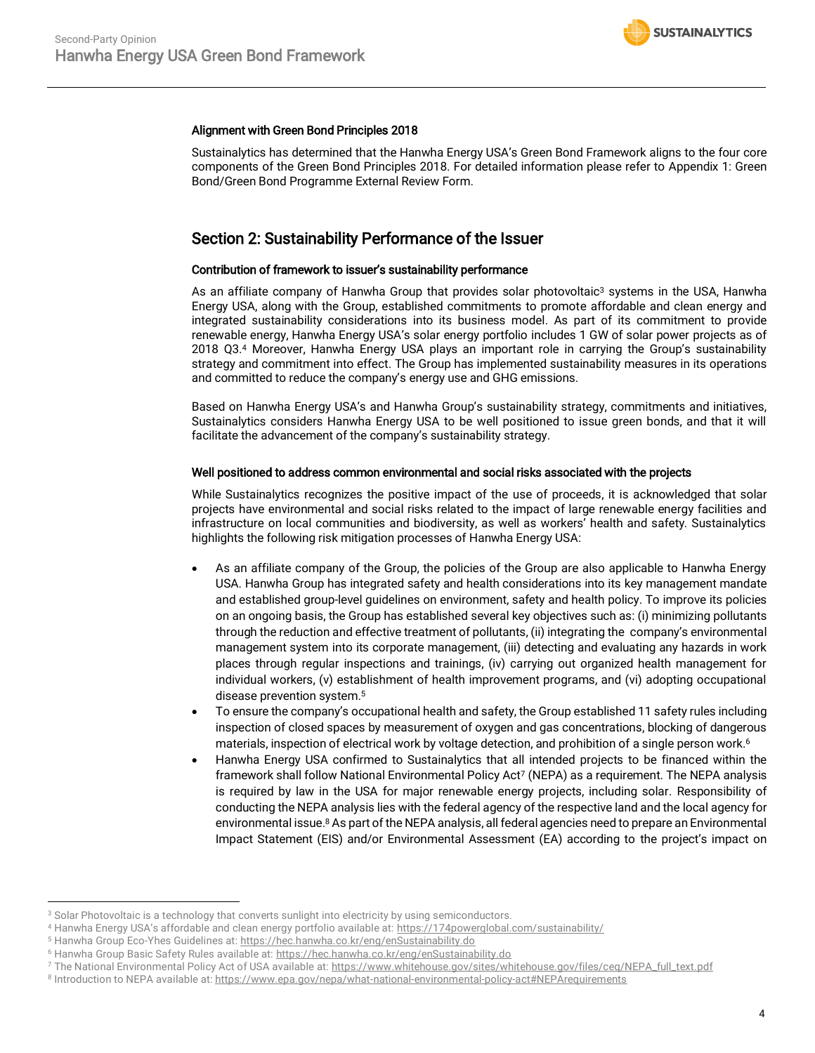## Alignment with Green Bond Principles 2018

Sustainalytics has determined that the Hanwha Energy USA's Green Bond Framework aligns to the four core components of the Green Bond Principles 2018. For detailed information please refer to Appendix 1: Green Bond/Green Bond Programme External Review Form.

# Section 2: Sustainability Performance of the Issuer

## Contribution of framework to issuer's sustainability performance

As an affiliate company of Hanwha Group that provides solar photovoltaic<sup>3</sup> systems in the USA, Hanwha Energy USA, along with the Group, established commitments to promote affordable and clean energy and integrated sustainability considerations into its business model. As part of its commitment to provide renewable energy, Hanwha Energy USA's solar energy portfolio includes 1 GW of solar power projects as of 2018 Q3.<sup>4</sup> Moreover, Hanwha Energy USA plays an important role in carrying the Group's sustainability strategy and commitment into effect. The Group has implemented sustainability measures in its operations and committed to reduce the company's energy use and GHG emissions.

Based on Hanwha Energy USA's and Hanwha Group's sustainability strategy, commitments and initiatives, Sustainalytics considers Hanwha Energy USA to be well positioned to issue green bonds, and that it will facilitate the advancement of the company's sustainability strategy.

### Well positioned to address common environmental and social risks associated with the projects

While Sustainalytics recognizes the positive impact of the use of proceeds, it is acknowledged that solar projects have environmental and social risks related to the impact of large renewable energy facilities and infrastructure on local communities and biodiversity, as well as workers' health and safety. Sustainalytics highlights the following risk mitigation processes of Hanwha Energy USA:

- As an affiliate company of the Group, the policies of the Group are also applicable to Hanwha Energy USA. Hanwha Group has integrated safety and health considerations into its key management mandate and established group-level guidelines on environment, safety and health policy. To improve its policies on an ongoing basis, the Group has established several key objectives such as: (i) minimizing pollutants through the reduction and effective treatment of pollutants, (ii) integrating the company's environmental management system into its corporate management, (iii) detecting and evaluating any hazards in work places through regular inspections and trainings, (iv) carrying out organized health management for individual workers, (v) establishment of health improvement programs, and (vi) adopting occupational disease prevention system.<sup>5</sup>
- To ensure the company's occupational health and safety, the Group established 11 safety rules including inspection of closed spaces by measurement of oxygen and gas concentrations, blocking of dangerous materials, inspection of electrical work by voltage detection, and prohibition of a single person work.<sup>6</sup>
- Hanwha Energy USA confirmed to Sustainalytics that all intended projects to be financed within the framework shall follow National Environmental Policy Act<sup>7</sup> (NEPA) as a requirement. The NEPA analysis is required by law in the USA for major renewable energy projects, including solar. Responsibility of conducting the NEPA analysis lies with the federal agency of the respective land and the local agency for environmental issue. <sup>8</sup> As part of the NEPA analysis, all federal agencies need to prepare an Environmental Impact Statement (EIS) and/or Environmental Assessment (EA) according to the project's impact on

 $\overline{a}$ 

<sup>&</sup>lt;sup>3</sup> Solar Photovoltaic is a technology that converts sunlight into electricity by using semiconductors.

<sup>4</sup> Hanwha Energy USA's affordable and clean energy portfolio available at: <https://174powerglobal.com/sustainability/>

<sup>&</sup>lt;sup>5</sup> Hanwha Group Eco-Yhes Guidelines at[: https://hec.hanwha.co.kr/eng/enSustainability.do](https://hec.hanwha.co.kr/eng/enSustainability.do)

<sup>&</sup>lt;sup>6</sup> Hanwha Group Basic Safety Rules available at[: https://hec.hanwha.co.kr/eng/enSustainability.do](https://hec.hanwha.co.kr/eng/enSustainability.do)

<sup>7</sup> The National Environmental Policy Act of USA available at[: https://www.whitehouse.gov/sites/whitehouse.gov/files/ceq/NEPA\\_full\\_text.pdf](https://www.whitehouse.gov/sites/whitehouse.gov/files/ceq/NEPA_full_text.pdf)

<sup>8</sup> Introduction to NEPA available at:<https://www.epa.gov/nepa/what-national-environmental-policy-act#NEPArequirements>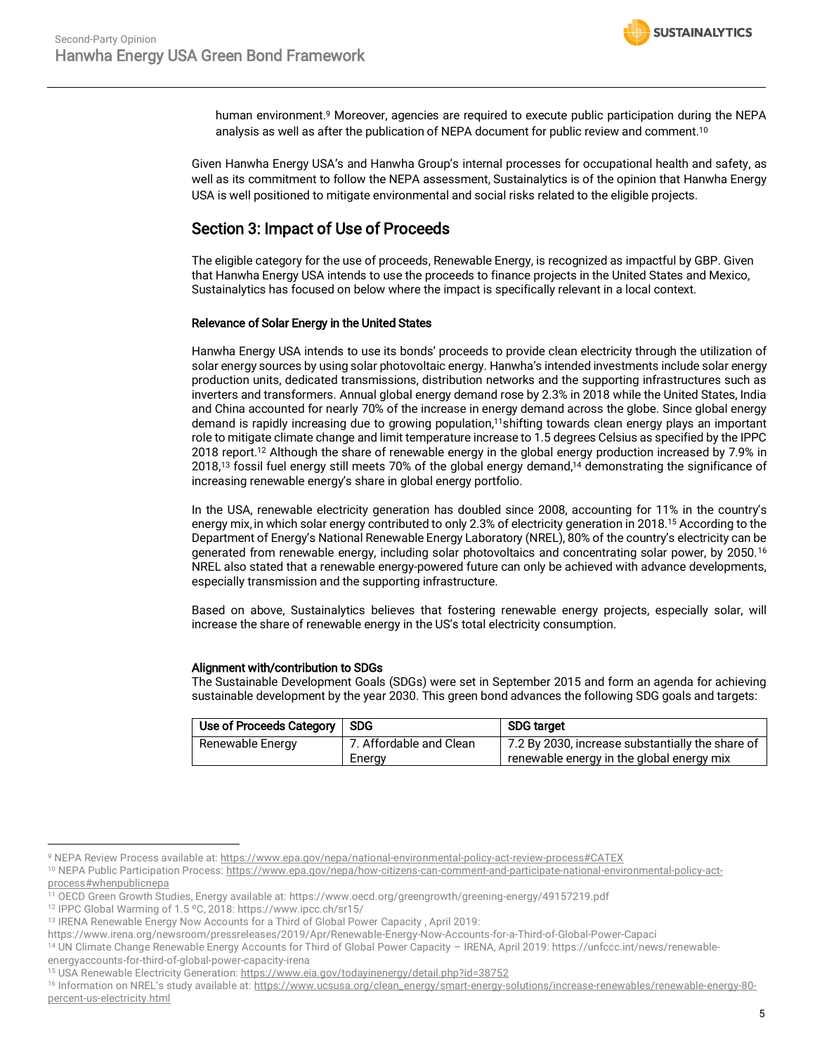human environment.<sup>9</sup> Moreover, agencies are required to execute public participation during the NEPA analysis as well as after the publication of NEPA document for public review and comment.<sup>10</sup>

Given Hanwha Energy USA's and Hanwha Group's internal processes for occupational health and safety, as well as its commitment to follow the NEPA assessment, Sustainalytics is of the opinion that Hanwha Energy USA is well positioned to mitigate environmental and social risks related to the eligible projects.

# Section 3: Impact of Use of Proceeds

The eligible category for the use of proceeds, Renewable Energy, is recognized as impactful by GBP. Given that Hanwha Energy USA intends to use the proceeds to finance projects in the United States and Mexico, Sustainalytics has focused on below where the impact is specifically relevant in a local context.

# Relevance of Solar Energy in the United States

Hanwha Energy USA intends to use its bonds' proceeds to provide clean electricity through the utilization of solar energy sources by using solar photovoltaic energy. Hanwha's intended investments include solar energy production units, dedicated transmissions, distribution networks and the supporting infrastructures such as inverters and transformers. Annual global energy demand rose by 2.3% in 2018 while the United States, India and China accounted for nearly 70% of the increase in energy demand across the globe. Since global energy demand is rapidly increasing due to growing population,<sup>11</sup>shifting towards clean energy plays an important role to mitigate climate change and limit temperature increase to 1.5 degrees Celsius as specified by the IPPC 2018 report.<sup>12</sup> Although the share of renewable energy in the global energy production increased by 7.9% in 2018,<sup>13</sup> fossil fuel energy still meets 70% of the global energy demand, <sup>14</sup> demonstrating the significance of increasing renewable energy's share in global energy portfolio.

In the USA, renewable electricity generation has doubled since 2008, accounting for 11% in the country's energy mix, in which solar energy contributed to only 2.3% of electricity generation in 2018.<sup>15</sup> According to the Department of Energy's National Renewable Energy Laboratory (NREL), 80% of the country's electricity can be generated from renewable energy, including solar photovoltaics and concentrating solar power, by 2050.<sup>16</sup> NREL also stated that a renewable energy-powered future can only be achieved with advance developments, especially transmission and the supporting infrastructure.

Based on above, Sustainalytics believes that fostering renewable energy projects, especially solar, will increase the share of renewable energy in the US's total electricity consumption.

# Alignment with/contribution to SDGs

The Sustainable Development Goals (SDGs) were set in September 2015 and form an agenda for achieving sustainable development by the year 2030. This green bond advances the following SDG goals and targets:

| Use of Proceeds Category | <b>SDG</b>              | <b>SDG target</b>                                |  |
|--------------------------|-------------------------|--------------------------------------------------|--|
| Renewable Energy         | 7. Affordable and Clean | 7.2 By 2030, increase substantially the share of |  |
|                          | Energy                  | renewable energy in the global energy mix        |  |

 $\overline{a}$ 9 NEPA Review Process available at:<https://www.epa.gov/nepa/national-environmental-policy-act-review-process#CATEX>

<sup>&</sup>lt;sup>10</sup> NEPA Public Participation Process: [https://www.epa.gov/nepa/how-citizens-can-comment-and-participate-national-environmental-policy-act](https://www.epa.gov/nepa/how-citizens-can-comment-and-participate-national-environmental-policy-act-process#whenpublicnepa)[process#whenpublicnepa](https://www.epa.gov/nepa/how-citizens-can-comment-and-participate-national-environmental-policy-act-process#whenpublicnepa)

<sup>11</sup> OECD Green Growth Studies, Energy available at[: https://www.oecd.org/greengrowth/greening-energy/49157219.pdf](https://www.oecd.org/greengrowth/greening-energy/49157219.pdf)

<sup>12</sup> IPPC Global Warming of 1.5 ºC, 2018[: https://www.ipcc.ch/sr15/](https://www.ipcc.ch/sr15/)

<sup>&</sup>lt;sup>13</sup> IRENA Renewable Energy Now Accounts for a Third of Global Power Capacity, April 2019:

<https://www.irena.org/newsroom/pressreleases/2019/Apr/Renewable-Energy-Now-Accounts-for-a-Third-of-Global-Power-Capaci>

<sup>14</sup> UN Climate Change Renewable Energy Accounts for Third of Global Power Capacity – IRENA, April 2019: [https://unfccc.int/news/renewable](https://unfccc.int/news/renewable-energyaccounts-for-third-of-global-power-capacity-irena)[energyaccounts-for-third-of-global-power-capacity-irena](https://unfccc.int/news/renewable-energyaccounts-for-third-of-global-power-capacity-irena)

<sup>&</sup>lt;sup>15</sup> USA Renewable Electricity Generation:<https://www.eia.gov/todayinenergy/detail.php?id=38752>

<sup>&</sup>lt;sup>16</sup> Information on NREL's study available at: [https://www.ucsusa.org/clean\\_energy/smart-energy-solutions/increase-renewables/renewable-energy-80](https://www.ucsusa.org/clean_energy/smart-energy-solutions/increase-renewables/renewable-energy-80-percent-us-electricity.html) [percent-us-electricity.html](https://www.ucsusa.org/clean_energy/smart-energy-solutions/increase-renewables/renewable-energy-80-percent-us-electricity.html)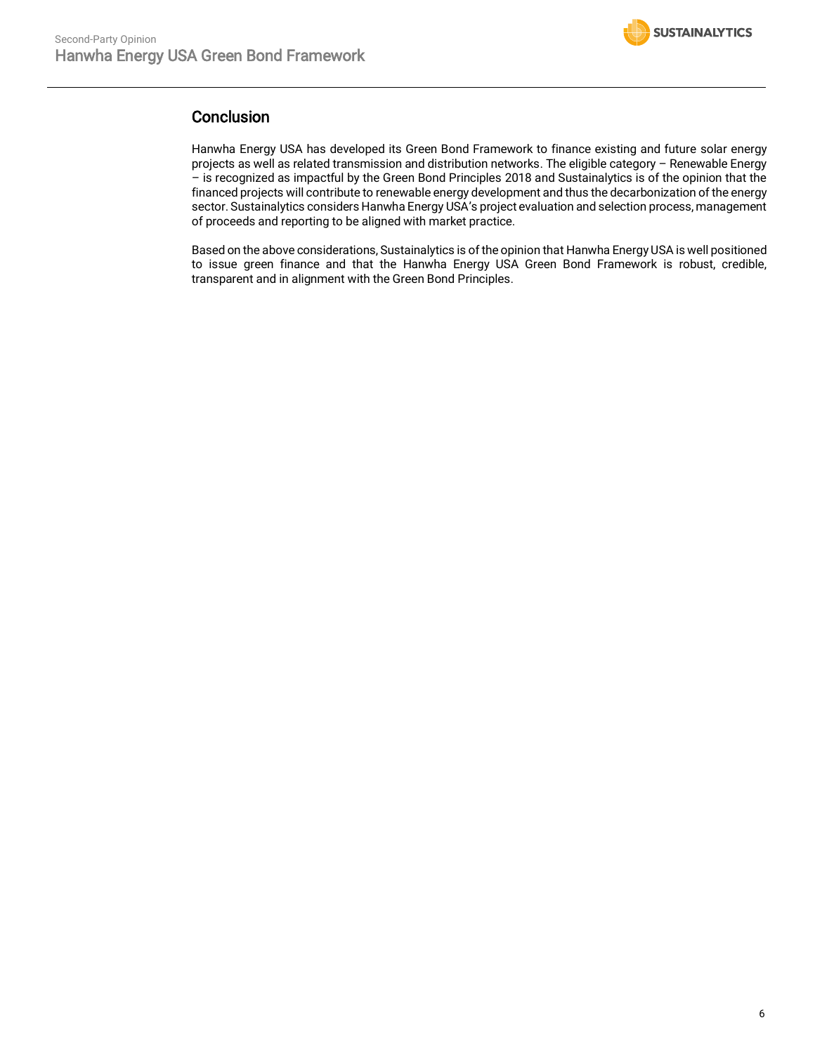

# **Conclusion**

Hanwha Energy USA has developed its Green Bond Framework to finance existing and future solar energy projects as well as related transmission and distribution networks. The eligible category – Renewable Energy – is recognized as impactful by the Green Bond Principles 2018 and Sustainalytics is of the opinion that the financed projects will contribute to renewable energy development and thus the decarbonization of the energy sector. Sustainalytics considers Hanwha Energy USA's project evaluation and selection process, management of proceeds and reporting to be aligned with market practice.

Based on the above considerations, Sustainalytics is of the opinion that Hanwha Energy USA is well positioned to issue green finance and that the Hanwha Energy USA Green Bond Framework is robust, credible, transparent and in alignment with the Green Bond Principles.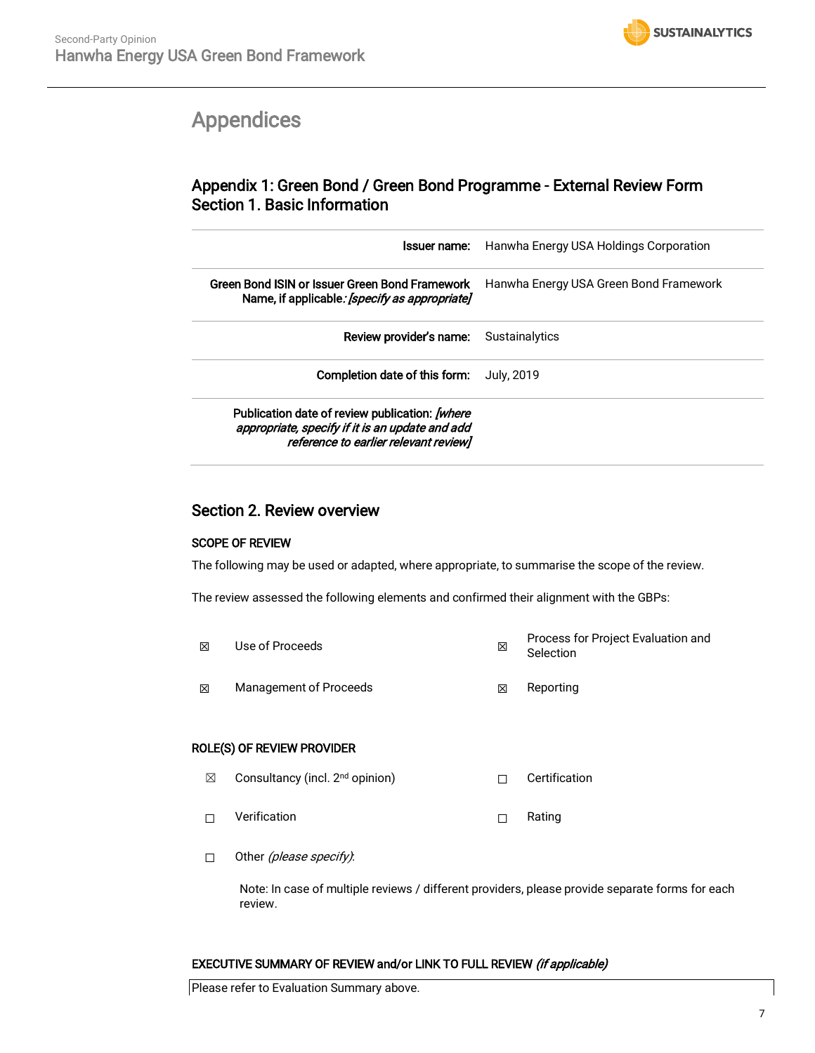

# <span id="page-6-0"></span>Appendices

# Appendix 1: Green Bond / Green Bond Programme - External Review Form Section 1. Basic Information

| Issuer name:                                                                                                                               | Hanwha Energy USA Holdings Corporation |  |
|--------------------------------------------------------------------------------------------------------------------------------------------|----------------------------------------|--|
| Green Bond ISIN or Issuer Green Bond Framework<br>Name, if applicable: [specify as appropriate]                                            | Hanwha Energy USA Green Bond Framework |  |
| Review provider's name:                                                                                                                    | Sustainalytics                         |  |
| Completion date of this form:                                                                                                              | July, 2019                             |  |
| Publication date of review publication: [where<br>appropriate, specify if it is an update and add<br>reference to earlier relevant review] |                                        |  |

# Section 2. Review overview

# SCOPE OF REVIEW

The following may be used or adapted, where appropriate, to summarise the scope of the review.

The review assessed the following elements and confirmed their alignment with the GBPs:

☒ Use of Proceeds ☒ Process for Project Evaluation and Selection **<b>⊠** Management of Proceeds **I Reporting** 

# ROLE(S) OF REVIEW PROVIDER

- **⊠** Consultancy (incl. 2<sup>nd</sup> opinion) □ □ Certification
- ☐ Verification ☐ Rating
- □ Other (*please specify)*:

Note: In case of multiple reviews / different providers, please provide separate forms for each review.

# EXECUTIVE SUMMARY OF REVIEW and/or LINK TO FULL REVIEW (if applicable)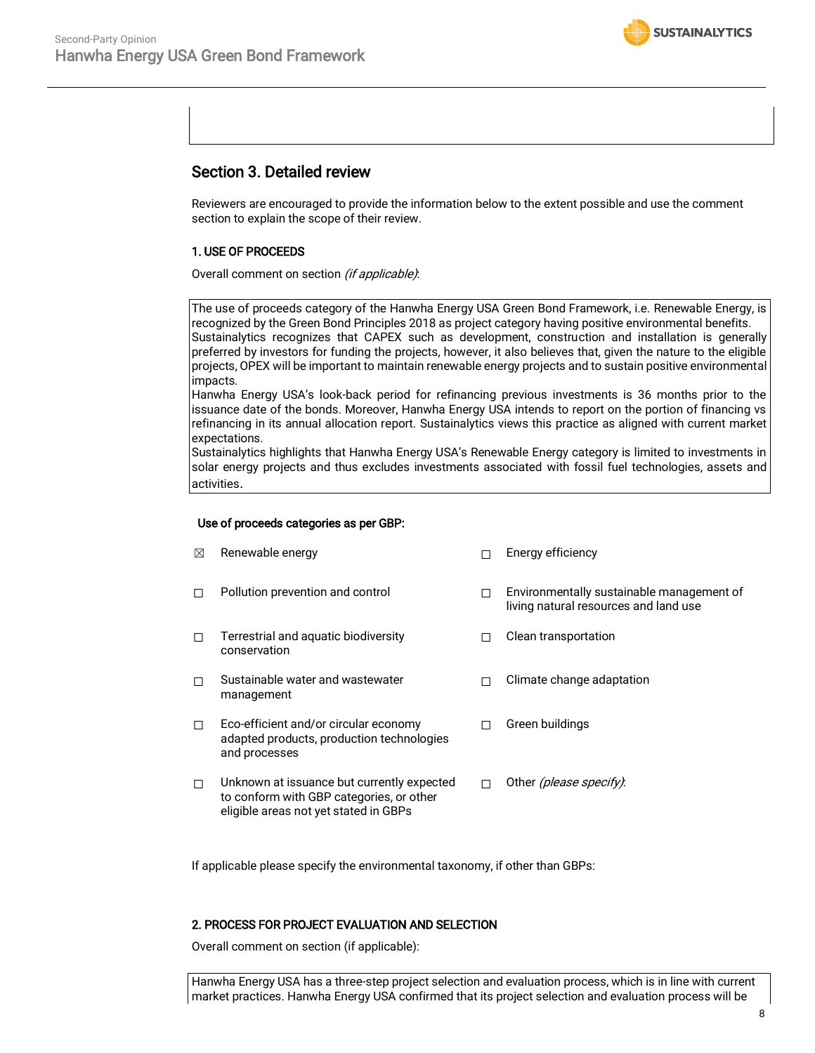

# Section 3. Detailed review

Reviewers are encouraged to provide the information below to the extent possible and use the comment section to explain the scope of their review.

## 1. USE OF PROCEEDS

Overall comment on section *(if applicable)*:

The use of proceeds category of the Hanwha Energy USA Green Bond Framework, i.e. Renewable Energy, is recognized by the Green Bond Principles 2018 as project category having positive environmental benefits. Sustainalytics recognizes that CAPEX such as development, construction and installation is generally preferred by investors for funding the projects, however, it also believes that, given the nature to the eligible projects, OPEX will be important to maintain renewable energy projects and to sustain positive environmental impacts.

Hanwha Energy USA's look-back period for refinancing previous investments is 36 months prior to the issuance date of the bonds. Moreover, Hanwha Energy USA intends to report on the portion of financing vs refinancing in its annual allocation report. Sustainalytics views this practice as aligned with current market expectations.

Sustainalytics highlights that Hanwha Energy USA's Renewable Energy category is limited to investments in solar energy projects and thus excludes investments associated with fossil fuel technologies, assets and activities.

living natural resources and land use

□ Clean transportation

□ Green buildings

☐ Climate change adaptation

## Use of proceeds categories as per GBP:

- ☒ Renewable energy ☐ Energy efficiency
- ☐ Pollution prevention and control ☐ Environmentally sustainable management of
- ☐ Terrestrial and aquatic biodiversity conservation
- ☐ Sustainable water and wastewater management
- ☐ Eco-efficient and/or circular economy adapted products, production technologies and processes
- ☐ Unknown at issuance but currently expected to conform with GBP categories, or other eligible areas not yet stated in GBPs □ Other *(please specify)*:

If applicable please specify the environmental taxonomy, if other than GBPs:

### 2. PROCESS FOR PROJECT EVALUATION AND SELECTION

Overall comment on section (if applicable):

Hanwha Energy USA has a three-step project selection and evaluation process, which is in line with current market practices. Hanwha Energy USA confirmed that its project selection and evaluation process will be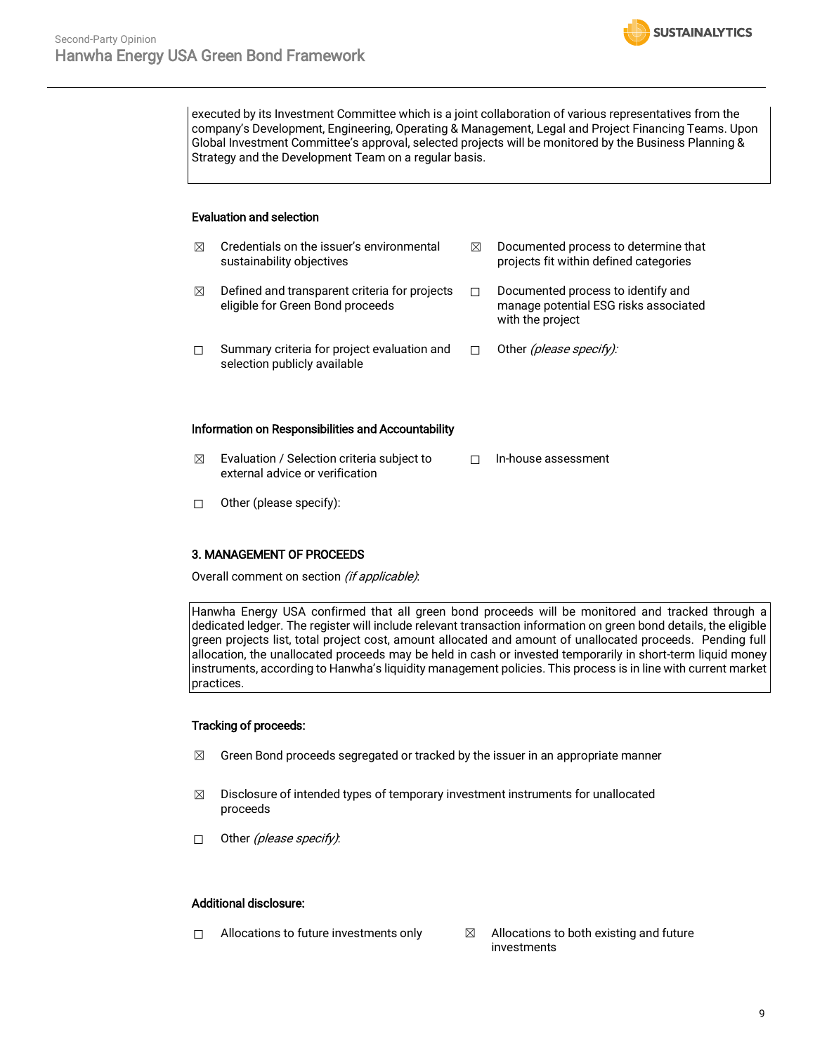executed by its Investment Committee which is a joint collaboration of various representatives from the company's Development, Engineering, Operating & Management, Legal and Project Financing Teams. Upon Global Investment Committee's approval, selected projects will be monitored by the Business Planning & Strategy and the Development Team on a regular basis.

**SUSTAINALYTICS** 

### Evaluation and selection

| ⊠ | Credentials on the issuer's environmental<br>sustainability objectives            | ⊠ | Documented process to determine that<br>projects fit within defined categories                  |
|---|-----------------------------------------------------------------------------------|---|-------------------------------------------------------------------------------------------------|
| ⊠ | Defined and transparent criteria for projects<br>eligible for Green Bond proceeds |   | Documented process to identify and<br>manage potential ESG risks associated<br>with the project |
| П | Summary criteria for project evaluation and<br>selection publicly available       |   | Other (please specify):                                                                         |

#### Information on Responsibilities and Accountability

- $\boxtimes$  Evaluation / Selection criteria subject to external advice or verification ☐ In-house assessment
- ☐ Other (please specify):

### 3. MANAGEMENT OF PROCEEDS

Overall comment on section (if applicable):

Hanwha Energy USA confirmed that all green bond proceeds will be monitored and tracked through a dedicated ledger. The register will include relevant transaction information on green bond details, the eligible green projects list, total project cost, amount allocated and amount of unallocated proceeds. Pending full allocation, the unallocated proceeds may be held in cash or invested temporarily in short-term liquid money instruments, according to Hanwha's liquidity management policies. This process is in line with current market practices.

### Tracking of proceeds:

- $\boxtimes$  Green Bond proceeds segregated or tracked by the issuer in an appropriate manner
- $\boxtimes$  Disclosure of intended types of temporary investment instruments for unallocated proceeds
- □ Other *(please specify)*:

#### Additional disclosure:

- $\Box$  Allocations to future investments only  $\boxtimes$  Allocations to both existing and future
	- investments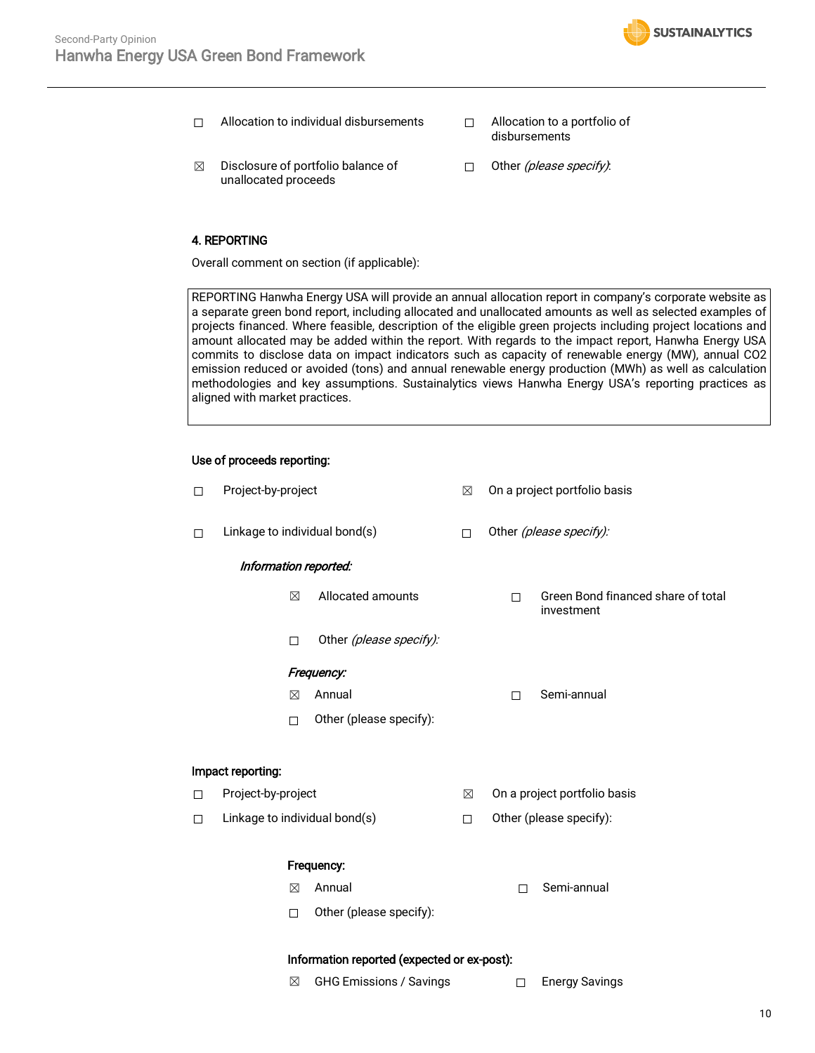- ☐ Allocation to individual disbursements ☐ Allocation to a portfolio of
- disbursements
- $\boxtimes$  Disclosure of portfolio balance of unallocated proceeds
- □ Other (please specify):

# 4. REPORTING

Overall comment on section (if applicable):

REPORTING Hanwha Energy USA will provide an annual allocation report in company's corporate website as a separate green bond report, including allocated and unallocated amounts as well as selected examples of projects financed. Where feasible, description of the eligible green projects including project locations and amount allocated may be added within the report. With regards to the impact report, Hanwha Energy USA commits to disclose data on impact indicators such as capacity of renewable energy (MW), annual CO2 emission reduced or avoided (tons) and annual renewable energy production (MWh) as well as calculation methodologies and key assumptions. Sustainalytics views Hanwha Energy USA's reporting practices as aligned with market practices.

## Use of proceeds reporting:

| $\Box$                  | Project-by-project                                                   | ⊠ | On a project portfolio basis                          |
|-------------------------|----------------------------------------------------------------------|---|-------------------------------------------------------|
| □                       | Linkage to individual bond(s)                                        |   | Other (please specify):                               |
|                         | Information reported:                                                |   |                                                       |
|                         | Allocated amounts<br>⊠                                               |   | Green Bond financed share of total<br>П<br>investment |
|                         | Other (please specify):<br>П                                         |   |                                                       |
|                         | Frequency:                                                           |   |                                                       |
|                         | Annual<br>⊠                                                          |   | Semi-annual<br>$\Box$                                 |
|                         | Other (please specify):<br>П                                         |   |                                                       |
|                         | Impact reporting:                                                    |   |                                                       |
| Project-by-project<br>□ |                                                                      | ⊠ | On a project portfolio basis                          |
| □                       | Linkage to individual bond(s)                                        | П | Other (please specify):                               |
|                         | Frequency:                                                           |   |                                                       |
|                         | Annual<br>⊠                                                          |   | Semi-annual<br>П                                      |
|                         | Other (please specify):<br>$\Box$                                    |   |                                                       |
|                         | $1 - 2 - 1$<br>مردده محالي والمتعاط والمتحارب والمستحدين<br>وبدائقها |   |                                                       |

### Information reported (expected or ex-post):

- ☒ GHG Emissions / Savings ☐ Energy Savings
	-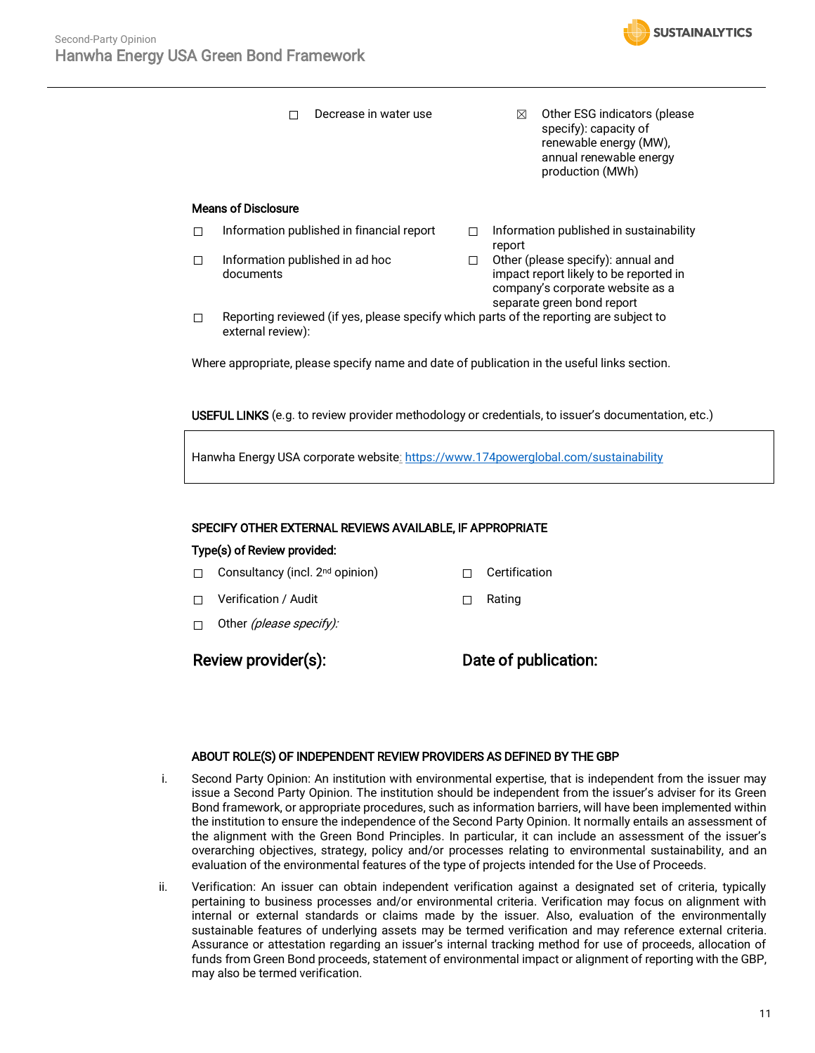

□ Decrease in water use  $□$  Other ESG indicators (please specify): capacity of renewable energy (MW), annual renewable energy production (MWh) Means of Disclosure □ Information published in financial report □ Information published in sustainability report ☐ Information published in ad hoc documents ☐ Other (please specify): annual and impact report likely to be reported in company's corporate website as a separate green bond report  $\Box$  Reporting reviewed (if yes, please specify which parts of the reporting are subject to external review): Where appropriate, please specify name and date of publication in the useful links section.

USEFUL LINKS (e.g. to review provider methodology or credentials, to issuer's documentation, etc.)

Hanwha Energy USA corporate website: <https://www.174powerglobal.com/sustainability>

## SPECIFY OTHER EXTERNAL REVIEWS AVAILABLE, IF APPROPRIATE

### Type(s) of Review provided:

- ☐ Consultancy (incl. 2nd opinion) ☐ Certification
- ☐ Verification / Audit ☐ Rating
- $\Box$  Other *(please specify):*

# Review provider(s): Date of publication:

### ABOUT ROLE(S) OF INDEPENDENT REVIEW PROVIDERS AS DEFINED BY THE GBP

- i. Second Party Opinion: An institution with environmental expertise, that is independent from the issuer may issue a Second Party Opinion. The institution should be independent from the issuer's adviser for its Green Bond framework, or appropriate procedures, such as information barriers, will have been implemented within the institution to ensure the independence of the Second Party Opinion. It normally entails an assessment of the alignment with the Green Bond Principles. In particular, it can include an assessment of the issuer's overarching objectives, strategy, policy and/or processes relating to environmental sustainability, and an evaluation of the environmental features of the type of projects intended for the Use of Proceeds.
- ii. Verification: An issuer can obtain independent verification against a designated set of criteria, typically pertaining to business processes and/or environmental criteria. Verification may focus on alignment with internal or external standards or claims made by the issuer. Also, evaluation of the environmentally sustainable features of underlying assets may be termed verification and may reference external criteria. Assurance or attestation regarding an issuer's internal tracking method for use of proceeds, allocation of funds from Green Bond proceeds, statement of environmental impact or alignment of reporting with the GBP, may also be termed verification.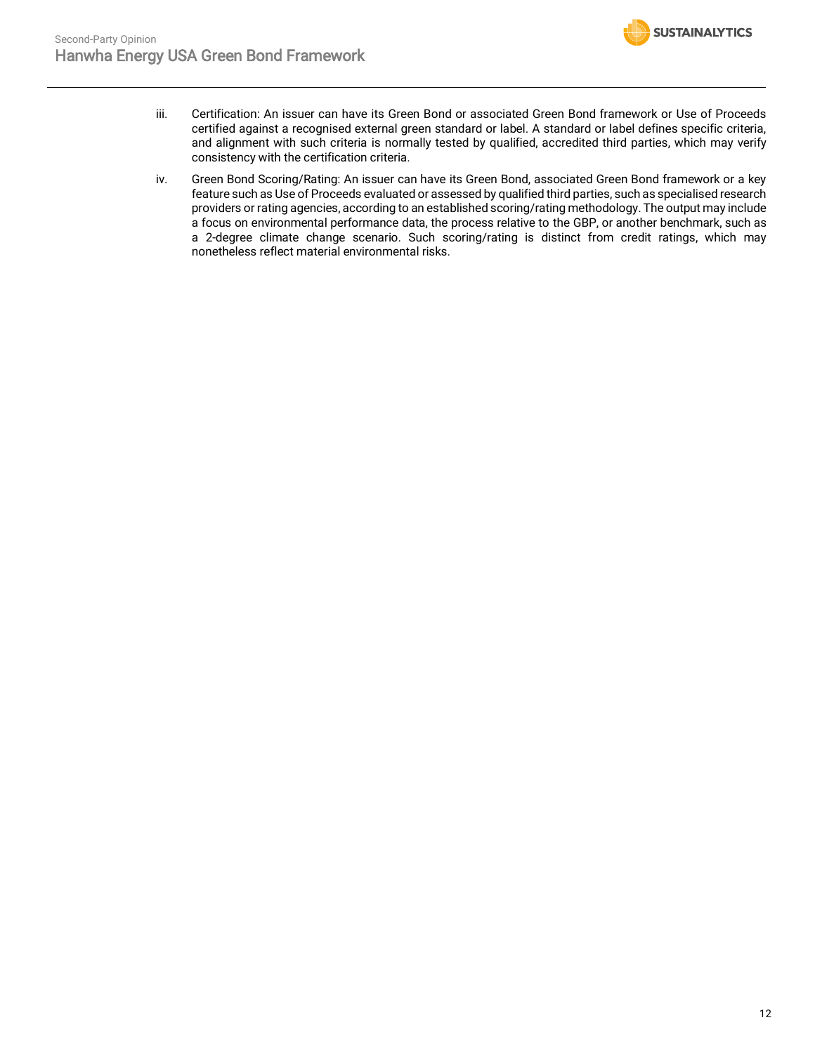

- iii. Certification: An issuer can have its Green Bond or associated Green Bond framework or Use of Proceeds certified against a recognised external green standard or label. A standard or label defines specific criteria, and alignment with such criteria is normally tested by qualified, accredited third parties, which may verify consistency with the certification criteria.
- iv. Green Bond Scoring/Rating: An issuer can have its Green Bond, associated Green Bond framework or a key feature such as Use of Proceeds evaluated or assessed by qualified third parties, such as specialised research providers or rating agencies, according to an established scoring/rating methodology. The output may include a focus on environmental performance data, the process relative to the GBP, or another benchmark, such as a 2-degree climate change scenario. Such scoring/rating is distinct from credit ratings, which may nonetheless reflect material environmental risks.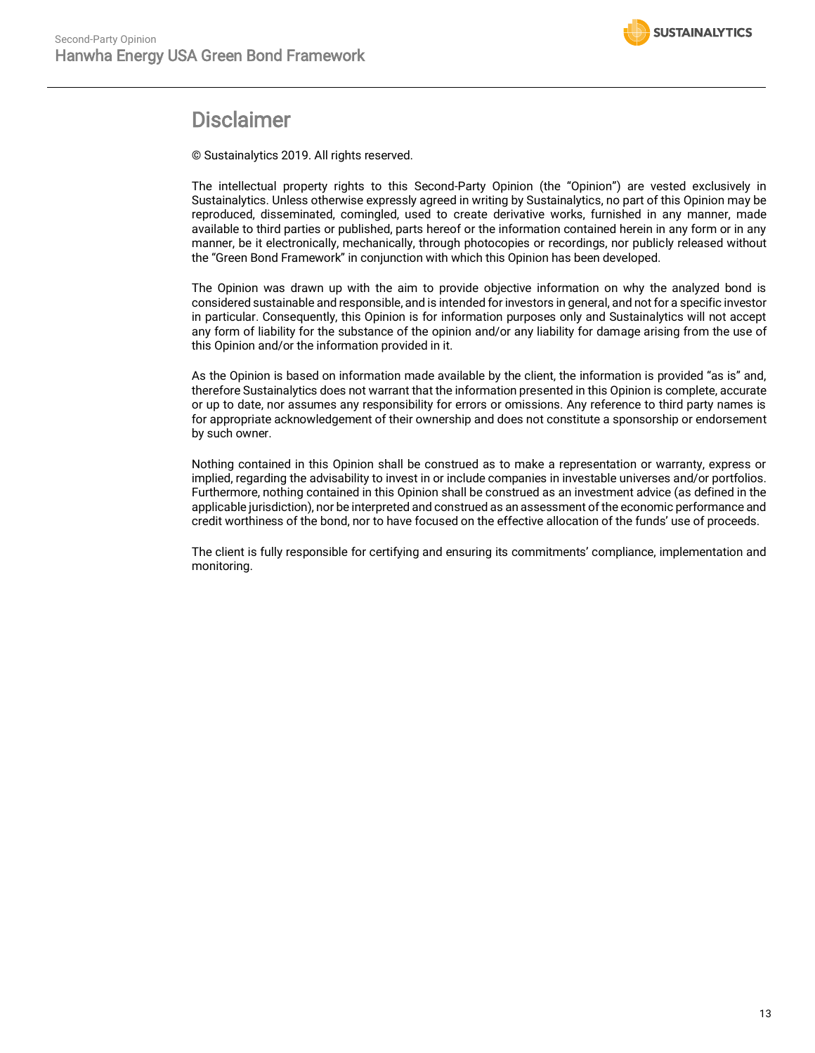

# Disclaimer

© Sustainalytics 2019. All rights reserved.

The intellectual property rights to this Second-Party Opinion (the "Opinion") are vested exclusively in Sustainalytics. Unless otherwise expressly agreed in writing by Sustainalytics, no part of this Opinion may be reproduced, disseminated, comingled, used to create derivative works, furnished in any manner, made available to third parties or published, parts hereof or the information contained herein in any form or in any manner, be it electronically, mechanically, through photocopies or recordings, nor publicly released without the "Green Bond Framework" in conjunction with which this Opinion has been developed.

The Opinion was drawn up with the aim to provide objective information on why the analyzed bond is considered sustainable and responsible, and is intended for investors in general, and not for a specific investor in particular. Consequently, this Opinion is for information purposes only and Sustainalytics will not accept any form of liability for the substance of the opinion and/or any liability for damage arising from the use of this Opinion and/or the information provided in it.

As the Opinion is based on information made available by the client, the information is provided "as is" and, therefore Sustainalytics does not warrant that the information presented in this Opinion is complete, accurate or up to date, nor assumes any responsibility for errors or omissions. Any reference to third party names is for appropriate acknowledgement of their ownership and does not constitute a sponsorship or endorsement by such owner.

Nothing contained in this Opinion shall be construed as to make a representation or warranty, express or implied, regarding the advisability to invest in or include companies in investable universes and/or portfolios. Furthermore, nothing contained in this Opinion shall be construed as an investment advice (as defined in the applicable jurisdiction), nor be interpreted and construed as an assessment of the economic performance and credit worthiness of the bond, nor to have focused on the effective allocation of the funds' use of proceeds.

The client is fully responsible for certifying and ensuring its commitments' compliance, implementation and monitoring.